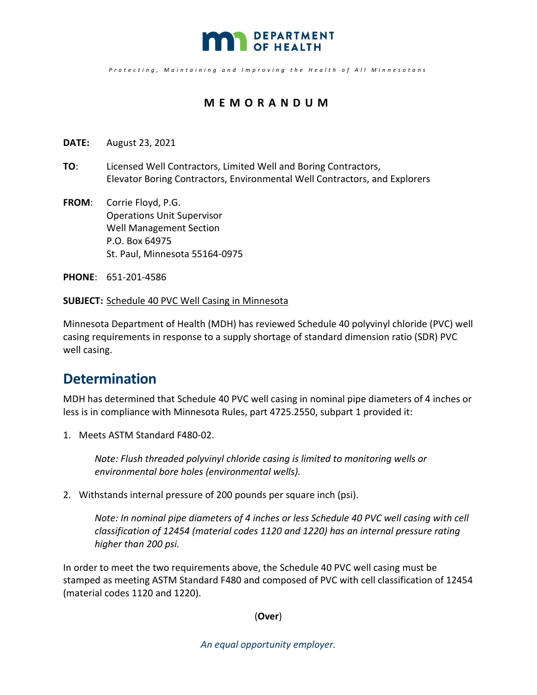

*Protecting , Maintaining and Improving the Health o f All Minnesotan s* 

### **MEMORANDUM**

- **DATE:** August 23, 2021
- **TO**: Licensed Well Contractors, Limited Well and Boring Contractors, Elevator Boring Contractors, Environmental Well Contractors, and Explorers
- **FROM**: Corrie Floyd, P.G. Operations Unit Supervisor Well Management Section P.O. Box 64975 St. Paul, Minnesota 55164-0975

**PHONE**: 651-201-4586

#### **SUBJECT:** Schedule 40 PVC Well Casing in Minnesota

Minnesota Department of Health (MDH) has reviewed Schedule 40 polyvinyl chloride (PVC) well casing requirements in response to a supply shortage of standard dimension ratio (SDR) PVC well casing.

### **Determination**

MDH has determined that Schedule 40 PVC well casing in nominal pipe diameters of 4 inches or less is in compliance with Minnesota Rules, part 4725.2550, subpart 1 provided it:

1. Meets ASTM Standard F480-02.

*Note: Flush threaded polyvinyl chloride casing is limited to monitoring wells or environmental bore holes (environmental wells).* 

2. Withstands internal pressure of 200 pounds per square inch (psi).

*Note: In nominal pipe diameters of 4 inches or less Schedule 40 PVC well casing with cell classification of 12454 (material codes 1120 and 1220) has an internal pressure rating higher than 200 psi.* 

In order to meet the two requirements above, the Schedule 40 PVC well casing must be stamped as meeting ASTM Standard F480 and composed of PVC with cell classification of 12454 (material codes 1120 and 1220).

(**Over**)

*An equal opportunity employer.*